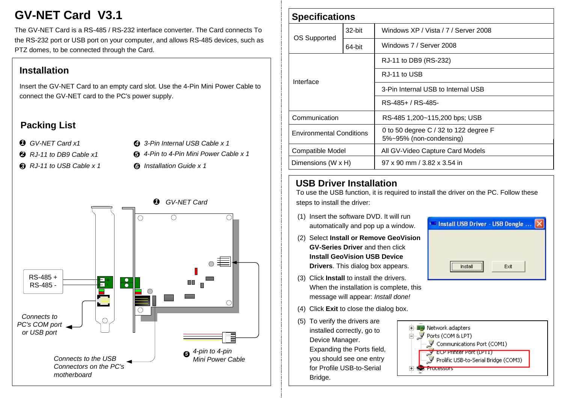# **GV-NET Card V3.1**

The GV-NET Card is a RS-485 / RS-232 interface converter. The Card connects To the RS-232 port or USB port on your computer, and allows RS-485 devices, such as PTZ domes, to be connected through the Card.

## **Installation**

Insert the GV-NET Card to an empty card slot. Use the 4-Pin Mini Power Cable to connect the GV-NET card to the PC's power supply.

# **Packing List**

*GV-NET Card x11*

- *4 3-Pin Internal USB Cable x 1*
- *2 RJ-11 to DB9 Cable x1*
- *3 RJ-11 to USB Cable x 1 6 Installation Guide x 1*
- *5 4-Pin to 4-Pin Mini Power Cable x 1*



| <b>Specifications</b>           |           |                                                                  |
|---------------------------------|-----------|------------------------------------------------------------------|
| OS Supported                    | $32$ -bit | Windows XP / Vista / 7 / Server 2008                             |
|                                 | 64-bit    | Windows 7 / Server 2008                                          |
| Interface                       |           | RJ-11 to DB9 (RS-232)                                            |
|                                 |           | RJ-11 to USB                                                     |
|                                 |           | 3-Pin Internal USB to Internal USB                               |
|                                 |           | RS-485+ / RS-485-                                                |
| Communication                   |           | RS-485 1,200~115,200 bps; USB                                    |
| <b>Environmental Conditions</b> |           | 0 to 50 degree C / 32 to 122 degree F<br>5%~95% (non-condensing) |
| Compatible Model                |           | All GV-Video Capture Card Models                                 |
| Dimensions (W x H)              |           | $97 \times 90$ mm $/$ 3.82 x 3.54 in                             |

#### **USB Driver Installation**

To use the USB function, it is required to install the driver on the PC. Follow these steps to install the driver:

- (1) Insert the software DVD. It will run automatically and pop up a window.
- (2) Select **Install or Remove GeoVision GV-Series Driver** and then click **Install GeoVision USB Device Drivers**. This dialog box appears.
- (3) Click **Install** to install the drivers. When the installation is complete, this message will appear: *Install done!*
- (4) Click **Exit** to close the dialog box.
- (5) To verify the drivers are installed correctly, go to Device Manager. Expanding the Ports field, you should see one entry for Profile USB-to-Serial Bridge.